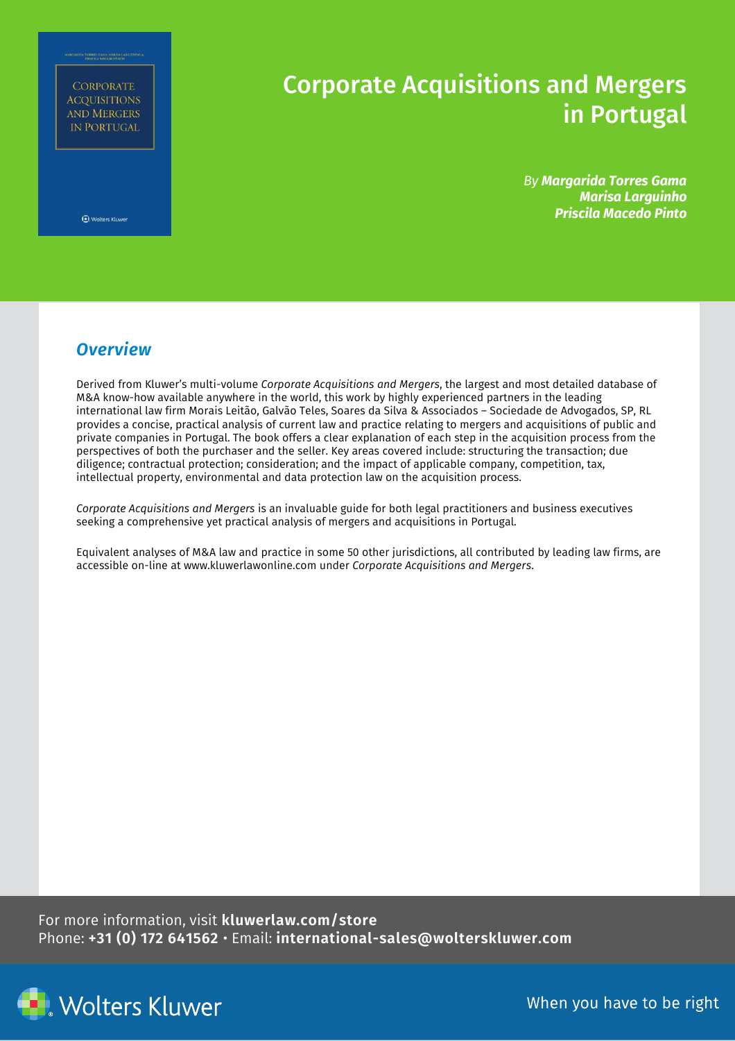**CORPORATE ACQUISITIONS** AND MERGERS **IN PORTUGAL** 

## Corporate Acquisitions and Mergers in Portugal

*By Margarida Torres Gama Marisa Larguinho Priscila Macedo Pinto*

**Et Wolters Kluwer** 

## *Overview*

Derived from Kluwer's multi-volume *Corporate Acquisitions and Mergers*, the largest and most detailed database of M&A know-how available anywhere in the world, this work by highly experienced partners in the leading international law firm Morais Leitão, Galvão Teles, Soares da Silva & Associados – Sociedade de Advogados, SP, RL provides a concise, practical analysis of current law and practice relating to mergers and acquisitions of public and private companies in Portugal. The book offers a clear explanation of each step in the acquisition process from the perspectives of both the purchaser and the seller. Key areas covered include: structuring the transaction; due diligence; contractual protection; consideration; and the impact of applicable company, competition, tax, intellectual property, environmental and data protection law on the acquisition process.

*Corporate Acquisitions and Mergers* is an invaluable guide for both legal practitioners and business executives seeking a comprehensive yet practical analysis of mergers and acquisitions in Portugal.

Equivalent analyses of M&A law and practice in some 50 other jurisdictions, all contributed by leading law firms, are accessible on-line a[t www.kluwerlawonline.com](http://www.kluwerlawonline.com/) under *Corporate Acquisitions and Mergers*.

For more information, visit **kluwerlaw.com/store** Phone: **+31 (0) 172 641562** • Email: **international-sales@wolterskluwer.com**



When you have to be right